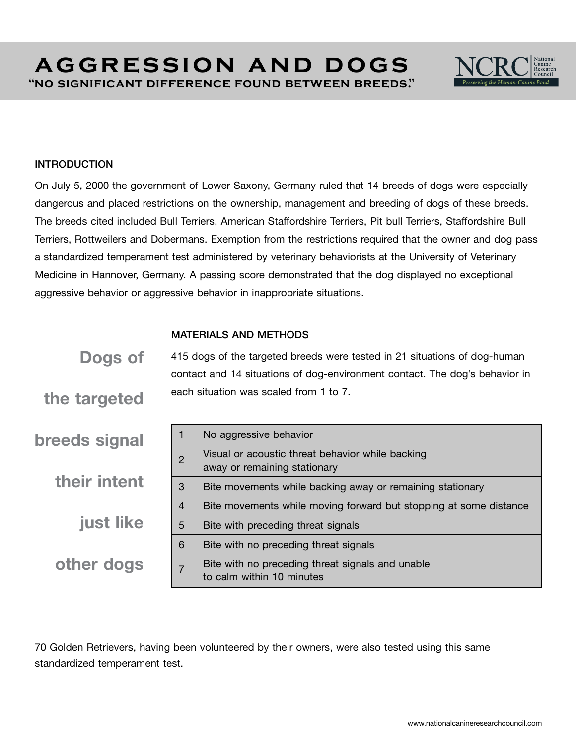# **aggression and dogs "no significant difference found between breeds."**



#### INTRODUCTION

Dogs of

the targeted

breeds signal

their intent

other dogs

just like

On July 5, 2000 the government of Lower Saxony, Germany ruled that 14 breeds of dogs were especially dangerous and placed restrictions on the ownership, management and breeding of dogs of these breeds. The breeds cited included Bull Terriers, American Staffordshire Terriers, Pit bull Terriers, Staffordshire Bull Terriers, Rottweilers and Dobermans. Exemption from the restrictions required that the owner and dog pass a standardized temperament test administered by veterinary behaviorists at the University of Veterinary Medicine in Hannover, Germany. A passing score demonstrated that the dog displayed no exceptional aggressive behavior or aggressive behavior in inappropriate situations.

### MATERIALS AND METHODS

415 dogs of the targeted breeds were tested in 21 situations of dog-human contact and 14 situations of dog-environment contact. The dog's behavior in each situation was scaled from 1 to 7.

|                | No aggressive behavior                                                           |
|----------------|----------------------------------------------------------------------------------|
| $\overline{2}$ | Visual or acoustic threat behavior while backing<br>away or remaining stationary |
| 3              | Bite movements while backing away or remaining stationary                        |
| 4              | Bite movements while moving forward but stopping at some distance                |
| 5              | Bite with preceding threat signals                                               |
| 6              | Bite with no preceding threat signals                                            |
|                | Bite with no preceding threat signals and unable<br>to calm within 10 minutes    |

70 Golden Retrievers, having been volunteered by their owners, were also tested using this same standardized temperament test.